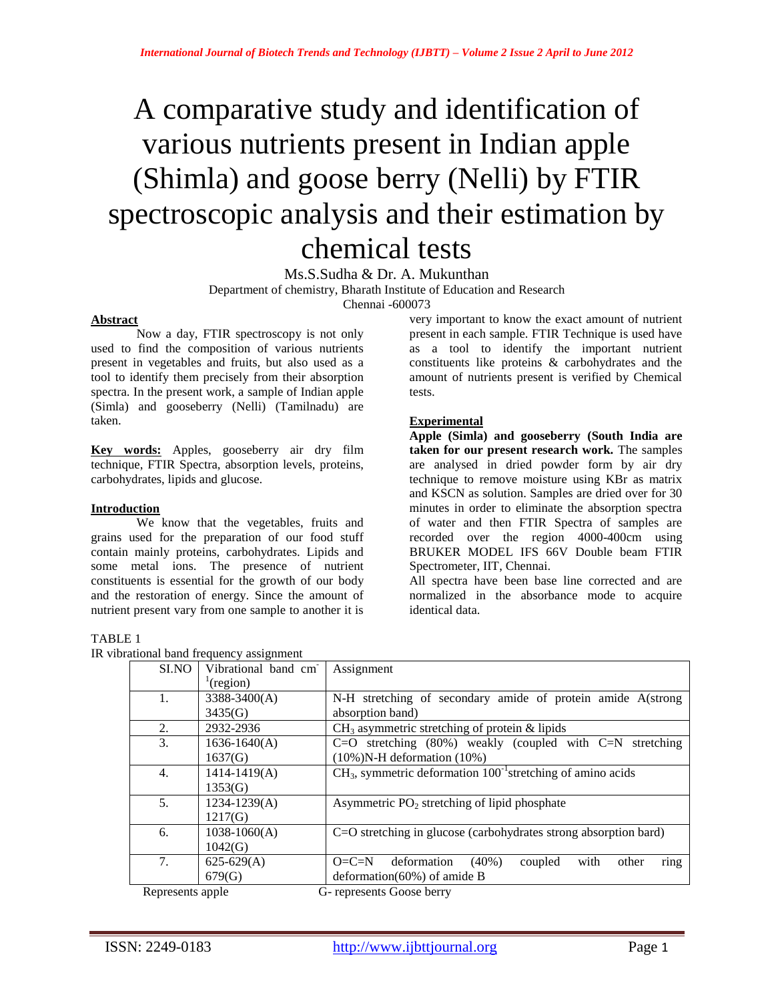# A comparative study and identification of various nutrients present in Indian apple (Shimla) and goose berry (Nelli) by FTIR spectroscopic analysis and their estimation by chemical tests

Ms.S.Sudha & Dr. A. Mukunthan

Department of chemistry, Bharath Institute of Education and Research

Chennai -600073

## **Abstract**

Now a day, FTIR spectroscopy is not only used to find the composition of various nutrients present in vegetables and fruits, but also used as a tool to identify them precisely from their absorption spectra. In the present work, a sample of Indian apple (Simla) and gooseberry (Nelli) (Tamilnadu) are taken.

**Key words:** Apples, gooseberry air dry film technique, FTIR Spectra, absorption levels, proteins, carbohydrates, lipids and glucose.

#### **Introduction**

We know that the vegetables, fruits and grains used for the preparation of our food stuff contain mainly proteins, carbohydrates. Lipids and some metal ions. The presence of nutrient constituents is essential for the growth of our body and the restoration of energy. Since the amount of nutrient present vary from one sample to another it is

## TABLE 1

IR vibra

very important to know the exact amount of nutrient present in each sample. FTIR Technique is used have as a tool to identify the important nutrient constituents like proteins & carbohydrates and the amount of nutrients present is verified by Chemical tests.

## **Experimental**

**Apple (Simla) and gooseberry (South India are taken for our present research work.** The samples are analysed in dried powder form by air dry technique to remove moisture using KBr as matrix and KSCN as solution. Samples are dried over for 30 minutes in order to eliminate the absorption spectra of water and then FTIR Spectra of samples are recorded over the region 4000-400cm using BRUKER MODEL IFS 66V Double beam FTIR Spectrometer, IIT, Chennai.

All spectra have been base line corrected and are normalized in the absorbance mode to acquire identical data.

| ational band frequency assignment |                     |                                                                        |  |  |  |
|-----------------------------------|---------------------|------------------------------------------------------------------------|--|--|--|
| SI.NO                             | Vibrational band cm | Assignment                                                             |  |  |  |
|                                   | (region)            |                                                                        |  |  |  |
| 1.                                | $3388 - 3400(A)$    | N-H stretching of secondary amide of protein amide A(strong            |  |  |  |
|                                   | 3435(G)             | absorption band)                                                       |  |  |  |
| 2.                                | 2932-2936           | $CH3$ asymmetric stretching of protein & lipids                        |  |  |  |
| 3.                                | $1636 - 1640(A)$    | C=O stretching $(80\%)$ weakly (coupled with C=N stretching            |  |  |  |
|                                   | 1637(G)             | $(10\%)$ N-H deformation $(10\%)$                                      |  |  |  |
| 4.                                | $1414 - 1419(A)$    | $CH3$ , symmetric deformation $100^{-1}$ stretching of amino acids     |  |  |  |
|                                   | 1353(G)             |                                                                        |  |  |  |
| 5.                                | $1234 - 1239(A)$    | Asymmetric $PO2$ stretching of lipid phosphate                         |  |  |  |
|                                   | 1217(G)             |                                                                        |  |  |  |
| 6.                                | $1038 - 1060(A)$    | $C=O$ stretching in glucose (carbohydrates strong absorption bard)     |  |  |  |
|                                   | 1042(G)             |                                                                        |  |  |  |
| 7.                                | $625-629(A)$        | deformation<br>$O=C=N$<br>$(40\%)$<br>coupled<br>with<br>other<br>ring |  |  |  |
|                                   | 679(G)              | deformation( $60\%$ ) of amide B                                       |  |  |  |
| Represents apple                  |                     | G- represents Goose berry                                              |  |  |  |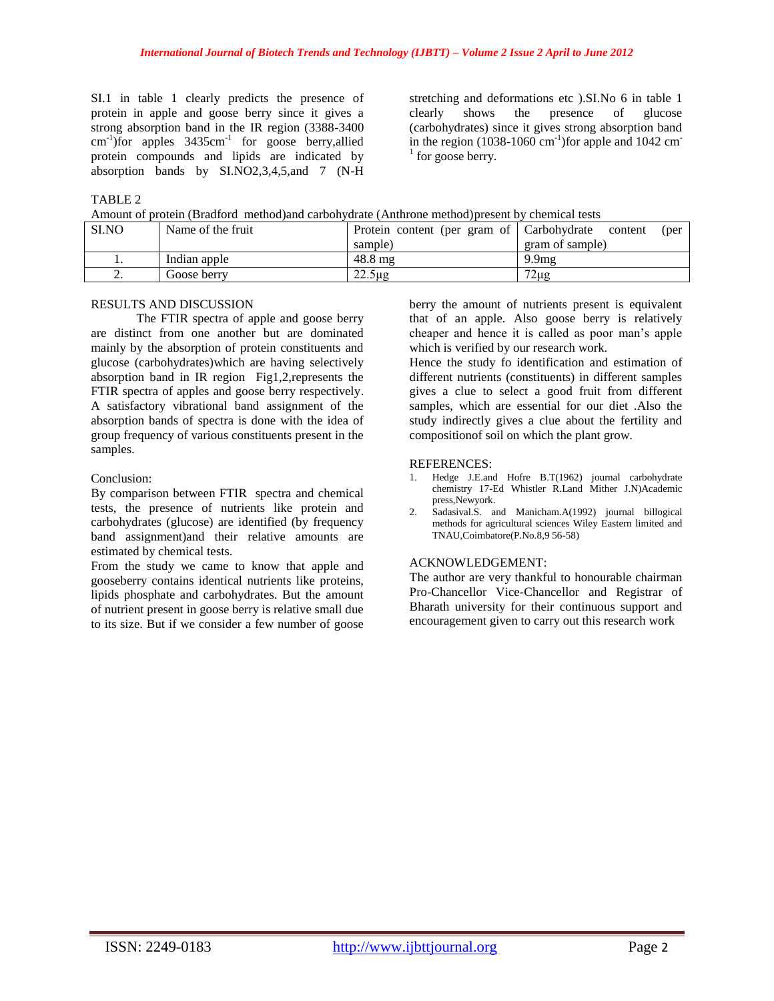SI.1 in table 1 clearly predicts the presence of protein in apple and goose berry since it gives a strong absorption band in the IR region (3388-3400 cm<sup>-1</sup>)for apples 3435cm<sup>-1</sup> for goose berry, allied protein compounds and lipids are indicated by absorption bands by SI.NO2,3,4,5,and 7 (N-H

stretching and deformations etc ).SI.No 6 in table 1 clearly shows the presence of glucose (carbohydrates) since it gives strong absorption band in the region  $(1038-1060 \text{ cm}^{-1})$  for apple and  $1042 \text{ cm}^{-1}$  $1$  for goose berry.

## TABLE 2

Amount of protein (Bradford method)and carbohydrate (Anthrone method)present by chemical tests

| SLNO      | Name of the fruit | Protein content (per gram of Carbohydrate | content<br>(per   |
|-----------|-------------------|-------------------------------------------|-------------------|
|           |                   | sample)                                   | gram of sample)   |
|           | Indian apple      | $48.8 \text{ mg}$                         | 9.9 <sub>mg</sub> |
| <u>L.</u> | Goose berrv       | $22.5 \mu$ g                              | $72\mu$ g         |

#### RESULTS AND DISCUSSION

The FTIR spectra of apple and goose berry are distinct from one another but are dominated mainly by the absorption of protein constituents and glucose (carbohydrates)which are having selectively absorption band in IR region Fig1,2,represents the FTIR spectra of apples and goose berry respectively. A satisfactory vibrational band assignment of the absorption bands of spectra is done with the idea of group frequency of various constituents present in the samples.

#### Conclusion:

By comparison between FTIR spectra and chemical tests, the presence of nutrients like protein and carbohydrates (glucose) are identified (by frequency band assignment)and their relative amounts are estimated by chemical tests.

From the study we came to know that apple and gooseberry contains identical nutrients like proteins, lipids phosphate and carbohydrates. But the amount of nutrient present in goose berry is relative small due to its size. But if we consider a few number of goose berry the amount of nutrients present is equivalent that of an apple. Also goose berry is relatively cheaper and hence it is called as poor man's apple which is verified by our research work.

Hence the study fo identification and estimation of different nutrients (constituents) in different samples gives a clue to select a good fruit from different samples, which are essential for our diet .Also the study indirectly gives a clue about the fertility and compositionof soil on which the plant grow.

#### REFERENCES:

- 1. Hedge J.E.and Hofre B.T(1962) journal carbohydrate chemistry 17-Ed Whistler R.Land Mither J.N)Academic press,Newyork.
- 2. Sadasival.S. and Manicham.A(1992) journal billogical methods for agricultural sciences Wiley Eastern limited and TNAU,Coimbatore(P.No.8,9 56-58)

#### ACKNOWLEDGEMENT:

The author are very thankful to honourable chairman Pro-Chancellor Vice-Chancellor and Registrar of Bharath university for their continuous support and encouragement given to carry out this research work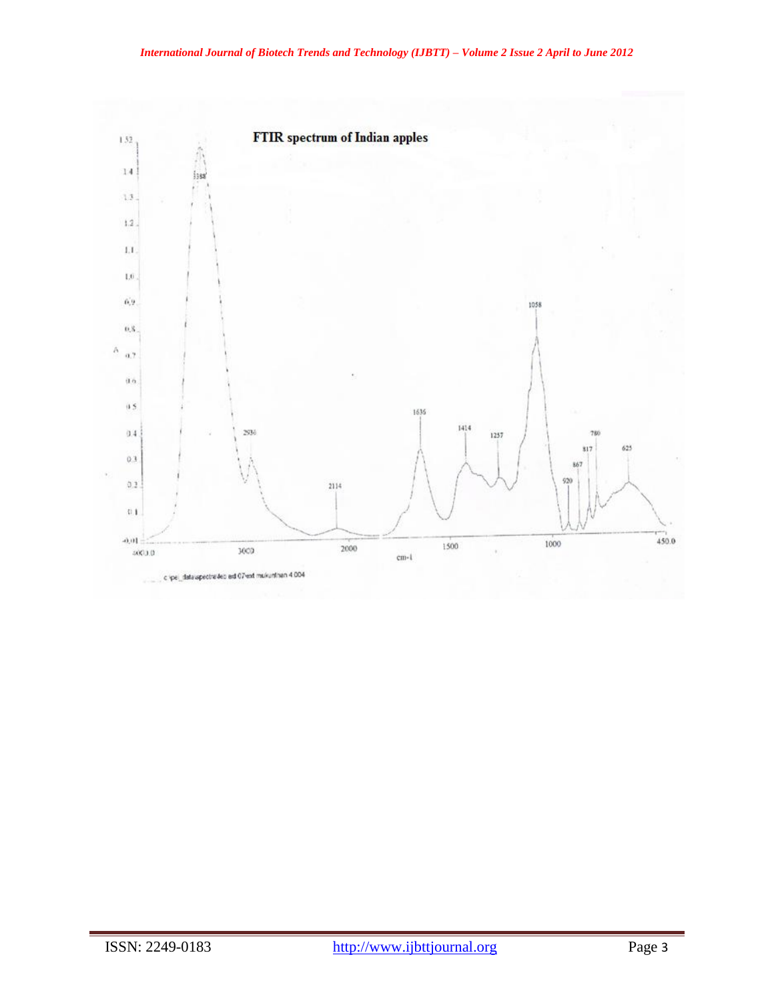